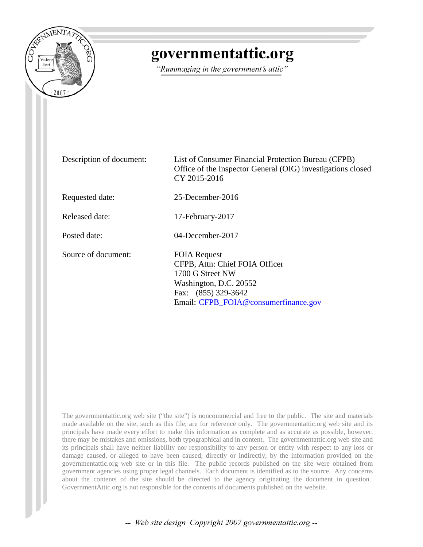

## governmentattic.org

"Rummaging in the government's attic"

Description of document: List of Consumer Financial Protection Bureau (CFPB) Office of the Inspector General (OIG) investigations closed CY 2015-2016 Requested date: 25-December-2016 Released date: 17-February-2017 Posted date: 04-December-2017 Source of document: FOIA Request CFPB, Attn: Chief FOIA Officer 1700 G Street NW Washington, D.C. 20552 Fax: (855) 329-3642 Email: [CFPB\\_FOIA@consumerfinance.gov](mailto:CFPB_FOIA@consumerfinance.gov?subject=FOIA%20Request)

The governmentattic.org web site ("the site") is noncommercial and free to the public. The site and materials made available on the site, such as this file, are for reference only. The governmentattic.org web site and its principals have made every effort to make this information as complete and as accurate as possible, however, there may be mistakes and omissions, both typographical and in content. The governmentattic.org web site and its principals shall have neither liability nor responsibility to any person or entity with respect to any loss or damage caused, or alleged to have been caused, directly or indirectly, by the information provided on the governmentattic.org web site or in this file. The public records published on the site were obtained from government agencies using proper legal channels. Each document is identified as to the source. Any concerns about the contents of the site should be directed to the agency originating the document in question. GovernmentAttic.org is not responsible for the contents of documents published on the website.

-- Web site design Copyright 2007 governmentattic.org --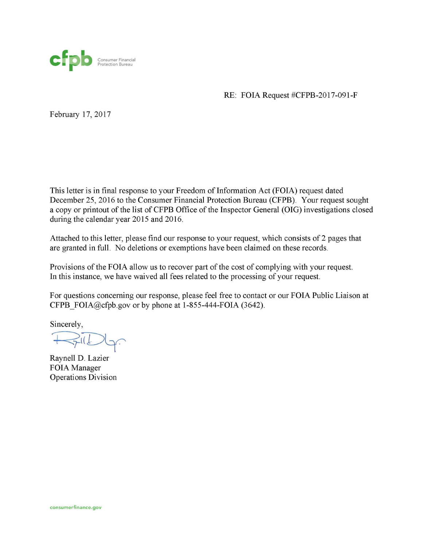

RE: FOIA Request #CFPB-2017-091-F

February 17, 2017

This letter is in final response to your Freedom of Information Act (FOIA) request dated December 25, 2016 to the Consumer Financial Protection Bureau (CFPB). Your request sought a copy or printout of the list of CFPB Office of the Inspector General (OIG) investigations closed during the calendar year 2015 and 2016.

Attached to this letter, please find our response to your request, which consists of 2 pages that are granted in full. No deletions or exemptions have been claimed on these records.

Provisions of the FOIA allow us to recover part of the cost of complying with your request. In this instance, we have waived all fees related to the processing of your request.

For questions concerning our response, please feel free to contact or our FOIA Public Liaison at CFPB FOIA@cfpb.gov or by phone at 1-855-444-FOIA (3642).

Sincerely,

 $512$ 

Raynell D. Lazier FOIA Manager Operations Division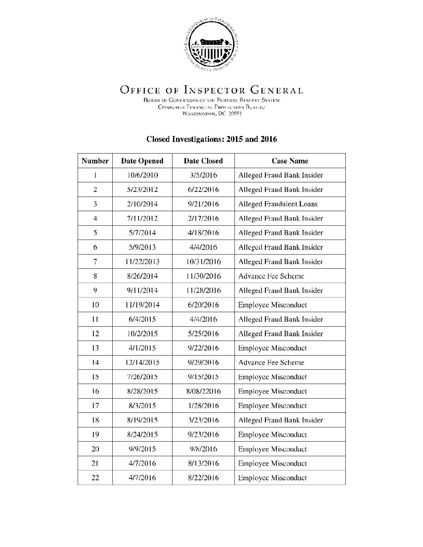

## OFFICE OF INSPECTOR GENERAL

BOARD OF GOVERNORS OF THE FEDERAL RESERVE SYSTEM CONSUMER FINANCIAL PROTECTION BURFAU WASHINGTON, DC 20551

## **Closed Investigations: 2015 and 2016**

| <b>Number</b>  | <b>Date Opened</b> | <b>Date Closed</b> | <b>Case Name</b>           |  |
|----------------|--------------------|--------------------|----------------------------|--|
| 1              | 10/6/2010          | 3/5/2016           | Alleged Fraud Bank Insider |  |
| $\overline{2}$ | 5/23/2012          | 6/22/2016          | Alleged Fraud Bank Insider |  |
| 3              | 2/10/2014          | 9/21/2016          | Alleged Fraudulent Loans   |  |
| $\overline{4}$ | 7/11/2012          | 2/17/2016          | Alleged Fraud Bank Insider |  |
| 5              | 5/7/2014           | 4/18/2016          | Alleged Fraud Bank Insider |  |
| 6              | 5/9/2013           | 4/4/2016           | Alleged Fraud Bank Insider |  |
| 7              | 11/22/2013         | 10/31/2016         | Alleged Fraud Bank Insider |  |
| 8              | 8/26/2014          | 11/30/2016         | <b>Advance Fee Scheme</b>  |  |
| 9              | 9/11/2014          | 11/28/2016         | Alleged Fraud Bank Insider |  |
| 10             | 11/19/2014         | 6/20/2016          | <b>Employee Misconduct</b> |  |
| 11             | 6/4/2015           | 4/4/2016           | Alleged Fraud Bank Insider |  |
| 12             | 10/2/2015          | 5/25/2016          | Alleged Fraud Bank Insider |  |
| 13             | 4/1/2015           | 9/22/2016          | <b>Employee Misconduct</b> |  |
| 14             | 12/14/2015         | 9/29/2016          | Advance Fee Scheme         |  |
| 15             | 7/26/2015          | 9/15/2015          | <b>Employee Misconduct</b> |  |
| 16             | 8/28/2015          | 8/08/22016         | <b>Employee Misconduct</b> |  |
| 17             | 8/3/2015           | 1/28/2016          | <b>Employee Misconduct</b> |  |
| 18             | 8/19/2015          | 3/23/2016          | Alleged Fraud Bank Insider |  |
| 19             | 8/24/2015          | 9/23/2016          | <b>Employee Misconduct</b> |  |
| 20             | 9/9/2015           | 9/8/2016           | <b>Employee Misconduct</b> |  |
| 21             | 4/7/2016           | 8/13/2016          | <b>Employee Misconduct</b> |  |
| 22             | 4/7/2016           | 8/22/2016          | <b>Employee Misconduct</b> |  |